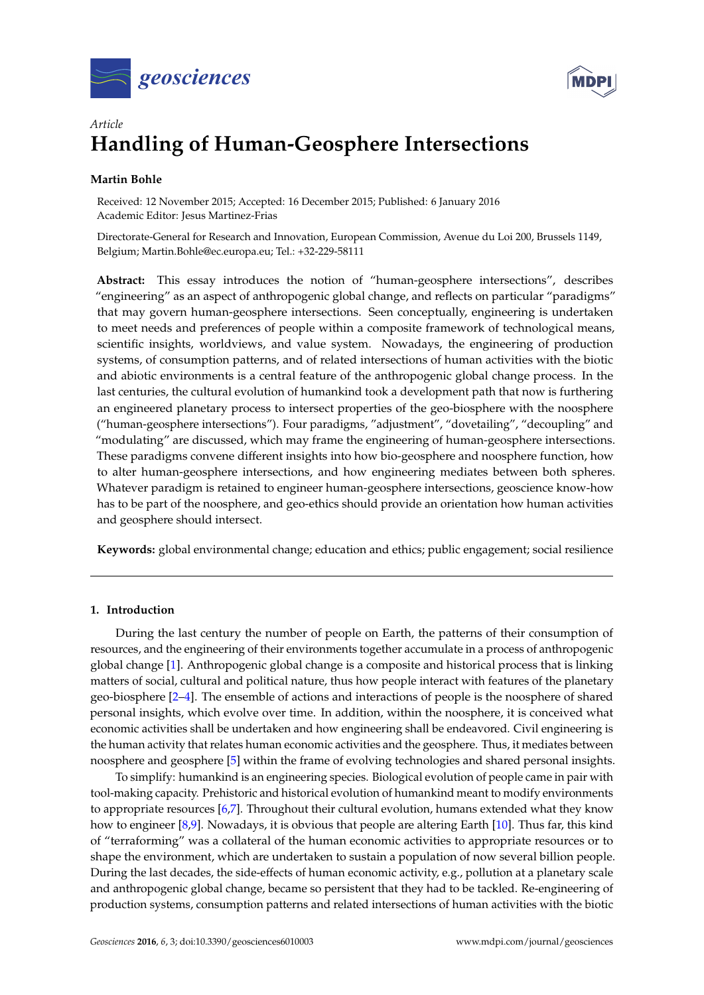



# *Article* **Handling of Human-Geosphere Intersections**

# **Martin Bohle**

Received: 12 November 2015; Accepted: 16 December 2015; Published: 6 January 2016 Academic Editor: Jesus Martinez-Frias

Directorate-General for Research and Innovation, European Commission, Avenue du Loi 200, Brussels 1149, Belgium; Martin.Bohle@ec.europa.eu; Tel.: +32-229-58111

**Abstract:** This essay introduces the notion of "human-geosphere intersections", describes "engineering" as an aspect of anthropogenic global change, and reflects on particular "paradigms" that may govern human-geosphere intersections. Seen conceptually, engineering is undertaken to meet needs and preferences of people within a composite framework of technological means, scientific insights, worldviews, and value system. Nowadays, the engineering of production systems, of consumption patterns, and of related intersections of human activities with the biotic and abiotic environments is a central feature of the anthropogenic global change process. In the last centuries, the cultural evolution of humankind took a development path that now is furthering an engineered planetary process to intersect properties of the geo-biosphere with the noosphere ("human-geosphere intersections"). Four paradigms, "adjustment", "dovetailing", "decoupling" and "modulating" are discussed, which may frame the engineering of human-geosphere intersections. These paradigms convene different insights into how bio-geosphere and noosphere function, how to alter human-geosphere intersections, and how engineering mediates between both spheres. Whatever paradigm is retained to engineer human-geosphere intersections, geoscience know-how has to be part of the noosphere, and geo-ethics should provide an orientation how human activities and geosphere should intersect.

**Keywords:** global environmental change; education and ethics; public engagement; social resilience

# **1. Introduction**

During the last century the number of people on Earth, the patterns of their consumption of resources, and the engineering of their environments together accumulate in a process of anthropogenic global change [\[1\]](#page-8-0). Anthropogenic global change is a composite and historical process that is linking matters of social, cultural and political nature, thus how people interact with features of the planetary geo-biosphere [\[2](#page-8-1)[–4\]](#page-8-2). The ensemble of actions and interactions of people is the noosphere of shared personal insights, which evolve over time. In addition, within the noosphere, it is conceived what economic activities shall be undertaken and how engineering shall be endeavored. Civil engineering is the human activity that relates human economic activities and the geosphere. Thus, it mediates between noosphere and geosphere [\[5\]](#page-8-3) within the frame of evolving technologies and shared personal insights.

To simplify: humankind is an engineering species. Biological evolution of people came in pair with tool-making capacity. Prehistoric and historical evolution of humankind meant to modify environments to appropriate resources [\[6](#page-8-4)[,7\]](#page-8-5). Throughout their cultural evolution, humans extended what they know how to engineer [\[8,](#page-8-6)[9\]](#page-8-7). Nowadays, it is obvious that people are altering Earth [\[10\]](#page-8-8). Thus far, this kind of "terraforming" was a collateral of the human economic activities to appropriate resources or to shape the environment, which are undertaken to sustain a population of now several billion people. During the last decades, the side-effects of human economic activity, e.g., pollution at a planetary scale and anthropogenic global change, became so persistent that they had to be tackled. Re-engineering of production systems, consumption patterns and related intersections of human activities with the biotic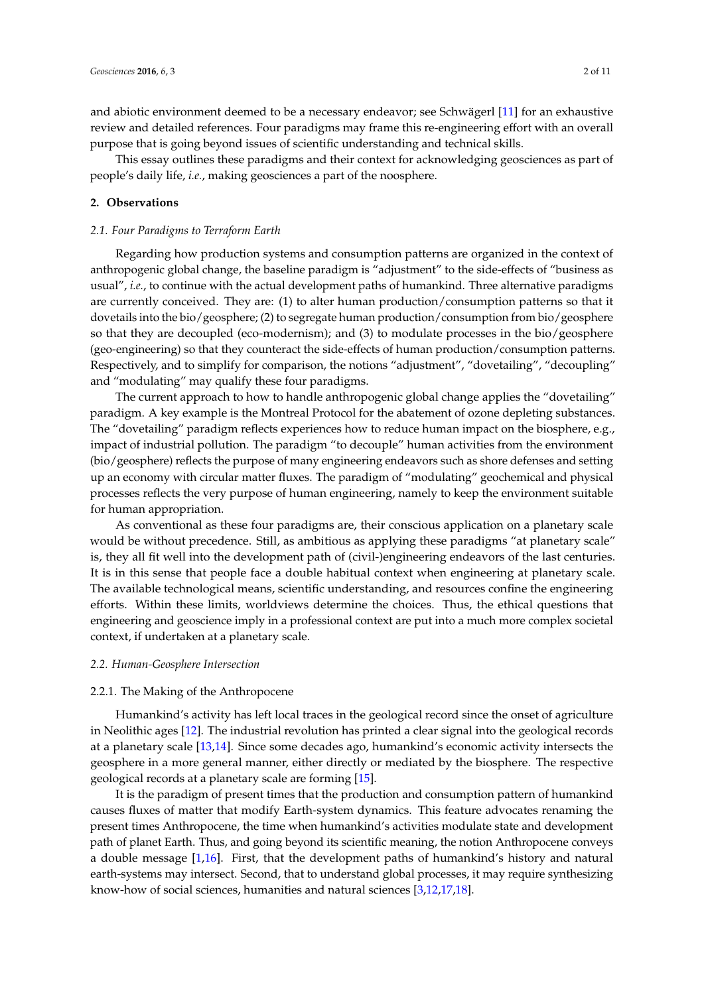and abiotic environment deemed to be a necessary endeavor; see Schwägerl [\[11\]](#page-8-9) for an exhaustive review and detailed references. Four paradigms may frame this re-engineering effort with an overall purpose that is going beyond issues of scientific understanding and technical skills.

This essay outlines these paradigms and their context for acknowledging geosciences as part of people's daily life, *i.e.*, making geosciences a part of the noosphere.

## **2. Observations**

## *2.1. Four Paradigms to Terraform Earth*

Regarding how production systems and consumption patterns are organized in the context of anthropogenic global change, the baseline paradigm is "adjustment" to the side-effects of "business as usual", *i.e.*, to continue with the actual development paths of humankind. Three alternative paradigms are currently conceived. They are: (1) to alter human production/consumption patterns so that it dovetails into the bio/geosphere; (2) to segregate human production/consumption from bio/geosphere so that they are decoupled (eco-modernism); and (3) to modulate processes in the bio/geosphere (geo-engineering) so that they counteract the side-effects of human production/consumption patterns. Respectively, and to simplify for comparison, the notions "adjustment", "dovetailing", "decoupling" and "modulating" may qualify these four paradigms.

The current approach to how to handle anthropogenic global change applies the "dovetailing" paradigm. A key example is the Montreal Protocol for the abatement of ozone depleting substances. The "dovetailing" paradigm reflects experiences how to reduce human impact on the biosphere, e.g., impact of industrial pollution. The paradigm "to decouple" human activities from the environment (bio/geosphere) reflects the purpose of many engineering endeavors such as shore defenses and setting up an economy with circular matter fluxes. The paradigm of "modulating" geochemical and physical processes reflects the very purpose of human engineering, namely to keep the environment suitable for human appropriation.

As conventional as these four paradigms are, their conscious application on a planetary scale would be without precedence. Still, as ambitious as applying these paradigms "at planetary scale" is, they all fit well into the development path of (civil-)engineering endeavors of the last centuries. It is in this sense that people face a double habitual context when engineering at planetary scale. The available technological means, scientific understanding, and resources confine the engineering efforts. Within these limits, worldviews determine the choices. Thus, the ethical questions that engineering and geoscience imply in a professional context are put into a much more complex societal context, if undertaken at a planetary scale.

## *2.2. Human-Geosphere Intersection*

#### 2.2.1. The Making of the Anthropocene

Humankind's activity has left local traces in the geological record since the onset of agriculture in Neolithic ages [\[12\]](#page-8-10). The industrial revolution has printed a clear signal into the geological records at a planetary scale [\[13,](#page-8-11)[14\]](#page-8-12). Since some decades ago, humankind's economic activity intersects the geosphere in a more general manner, either directly or mediated by the biosphere. The respective geological records at a planetary scale are forming [\[15\]](#page-8-13).

It is the paradigm of present times that the production and consumption pattern of humankind causes fluxes of matter that modify Earth-system dynamics. This feature advocates renaming the present times Anthropocene, the time when humankind's activities modulate state and development path of planet Earth. Thus, and going beyond its scientific meaning, the notion Anthropocene conveys a double message [\[1,](#page-8-0)[16\]](#page-9-0). First, that the development paths of humankind's history and natural earth-systems may intersect. Second, that to understand global processes, it may require synthesizing know-how of social sciences, humanities and natural sciences [\[3,](#page-8-14)[12](#page-8-10)[,17](#page-9-1)[,18\]](#page-9-2).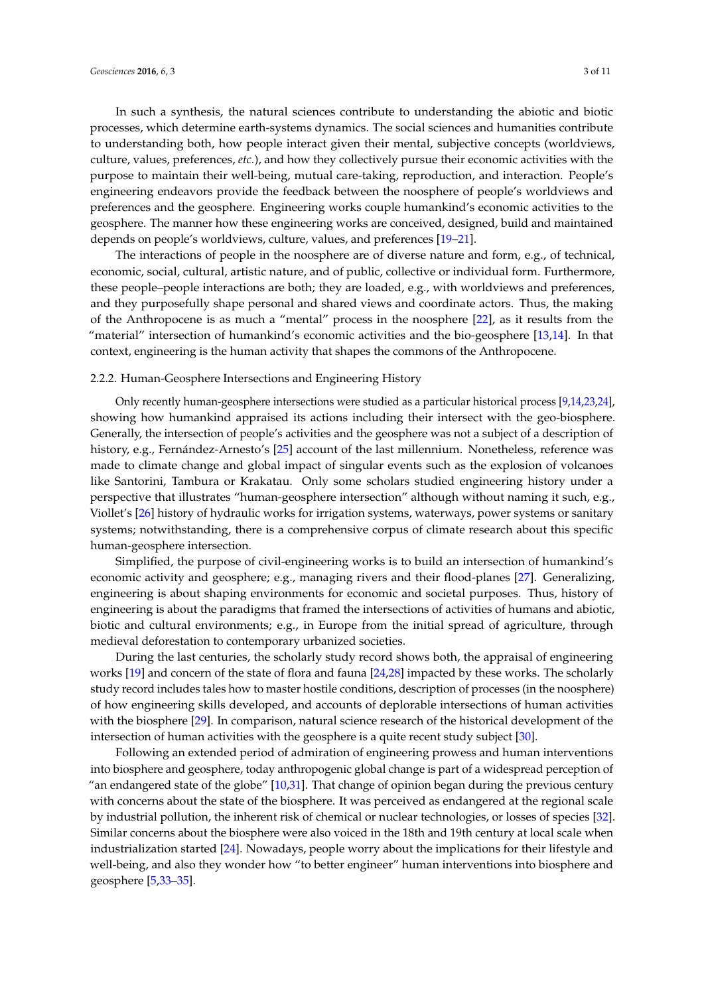In such a synthesis, the natural sciences contribute to understanding the abiotic and biotic processes, which determine earth-systems dynamics. The social sciences and humanities contribute to understanding both, how people interact given their mental, subjective concepts (worldviews, culture, values, preferences, *etc.*), and how they collectively pursue their economic activities with the purpose to maintain their well-being, mutual care-taking, reproduction, and interaction. People's engineering endeavors provide the feedback between the noosphere of people's worldviews and preferences and the geosphere. Engineering works couple humankind's economic activities to the geosphere. The manner how these engineering works are conceived, designed, build and maintained depends on people's worldviews, culture, values, and preferences [\[19](#page-9-3)[–21\]](#page-9-4).

The interactions of people in the noosphere are of diverse nature and form, e.g., of technical, economic, social, cultural, artistic nature, and of public, collective or individual form. Furthermore, these people–people interactions are both; they are loaded, e.g., with worldviews and preferences, and they purposefully shape personal and shared views and coordinate actors. Thus, the making of the Anthropocene is as much a "mental" process in the noosphere [\[22\]](#page-9-5), as it results from the "material" intersection of humankind's economic activities and the bio-geosphere [\[13](#page-8-11)[,14\]](#page-8-12). In that context, engineering is the human activity that shapes the commons of the Anthropocene.

## 2.2.2. Human-Geosphere Intersections and Engineering History

Only recently human-geosphere intersections were studied as a particular historical process [\[9,](#page-8-7)[14,](#page-8-12)[23,](#page-9-6)[24\]](#page-9-7), showing how humankind appraised its actions including their intersect with the geo-biosphere. Generally, the intersection of people's activities and the geosphere was not a subject of a description of history, e.g., Fernández-Arnesto's [\[25\]](#page-9-8) account of the last millennium. Nonetheless, reference was made to climate change and global impact of singular events such as the explosion of volcanoes like Santorini, Tambura or Krakatau. Only some scholars studied engineering history under a perspective that illustrates "human-geosphere intersection" although without naming it such, e.g., Viollet's [\[26\]](#page-9-9) history of hydraulic works for irrigation systems, waterways, power systems or sanitary systems; notwithstanding, there is a comprehensive corpus of climate research about this specific human-geosphere intersection.

Simplified, the purpose of civil-engineering works is to build an intersection of humankind's economic activity and geosphere; e.g., managing rivers and their flood-planes [\[27\]](#page-9-10). Generalizing, engineering is about shaping environments for economic and societal purposes. Thus, history of engineering is about the paradigms that framed the intersections of activities of humans and abiotic, biotic and cultural environments; e.g., in Europe from the initial spread of agriculture, through medieval deforestation to contemporary urbanized societies.

During the last centuries, the scholarly study record shows both, the appraisal of engineering works [\[19\]](#page-9-3) and concern of the state of flora and fauna [\[24,](#page-9-7)[28\]](#page-9-11) impacted by these works. The scholarly study record includes tales how to master hostile conditions, description of processes (in the noosphere) of how engineering skills developed, and accounts of deplorable intersections of human activities with the biosphere [\[29\]](#page-9-12). In comparison, natural science research of the historical development of the intersection of human activities with the geosphere is a quite recent study subject [\[30\]](#page-9-13).

Following an extended period of admiration of engineering prowess and human interventions into biosphere and geosphere, today anthropogenic global change is part of a widespread perception of "an endangered state of the globe" [\[10](#page-8-8)[,31\]](#page-9-14). That change of opinion began during the previous century with concerns about the state of the biosphere. It was perceived as endangered at the regional scale by industrial pollution, the inherent risk of chemical or nuclear technologies, or losses of species [\[32\]](#page-9-15). Similar concerns about the biosphere were also voiced in the 18th and 19th century at local scale when industrialization started [\[24\]](#page-9-7). Nowadays, people worry about the implications for their lifestyle and well-being, and also they wonder how "to better engineer" human interventions into biosphere and geosphere [\[5](#page-8-3)[,33–](#page-9-16)[35\]](#page-9-17).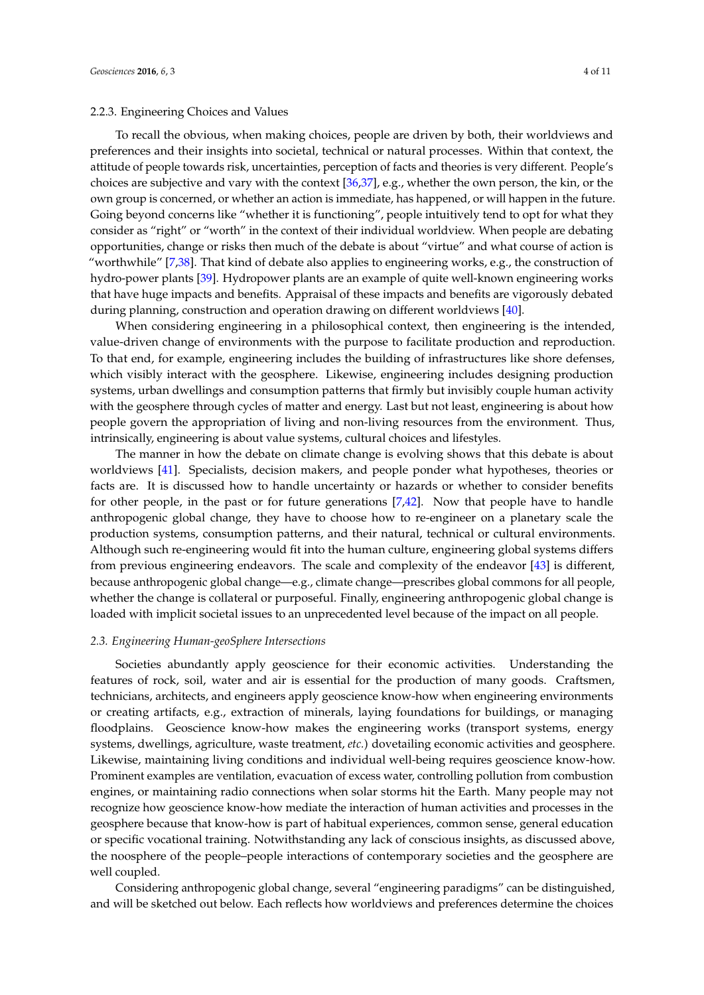To recall the obvious, when making choices, people are driven by both, their worldviews and preferences and their insights into societal, technical or natural processes. Within that context, the attitude of people towards risk, uncertainties, perception of facts and theories is very different. People's choices are subjective and vary with the context [\[36,](#page-9-18)[37\]](#page-9-19), e.g., whether the own person, the kin, or the own group is concerned, or whether an action is immediate, has happened, or will happen in the future. Going beyond concerns like "whether it is functioning", people intuitively tend to opt for what they consider as "right" or "worth" in the context of their individual worldview. When people are debating opportunities, change or risks then much of the debate is about "virtue" and what course of action is "worthwhile" [\[7,](#page-8-5)[38\]](#page-9-20). That kind of debate also applies to engineering works, e.g., the construction of hydro-power plants [\[39\]](#page-9-21). Hydropower plants are an example of quite well-known engineering works that have huge impacts and benefits. Appraisal of these impacts and benefits are vigorously debated during planning, construction and operation drawing on different worldviews [\[40\]](#page-9-22).

When considering engineering in a philosophical context, then engineering is the intended, value-driven change of environments with the purpose to facilitate production and reproduction. To that end, for example, engineering includes the building of infrastructures like shore defenses, which visibly interact with the geosphere. Likewise, engineering includes designing production systems, urban dwellings and consumption patterns that firmly but invisibly couple human activity with the geosphere through cycles of matter and energy. Last but not least, engineering is about how people govern the appropriation of living and non-living resources from the environment. Thus, intrinsically, engineering is about value systems, cultural choices and lifestyles.

The manner in how the debate on climate change is evolving shows that this debate is about worldviews [\[41\]](#page-10-0). Specialists, decision makers, and people ponder what hypotheses, theories or facts are. It is discussed how to handle uncertainty or hazards or whether to consider benefits for other people, in the past or for future generations [\[7,](#page-8-5)[42\]](#page-10-1). Now that people have to handle anthropogenic global change, they have to choose how to re-engineer on a planetary scale the production systems, consumption patterns, and their natural, technical or cultural environments. Although such re-engineering would fit into the human culture, engineering global systems differs from previous engineering endeavors. The scale and complexity of the endeavor [\[43\]](#page-10-2) is different, because anthropogenic global change—e.g., climate change—prescribes global commons for all people, whether the change is collateral or purposeful. Finally, engineering anthropogenic global change is loaded with implicit societal issues to an unprecedented level because of the impact on all people.

## *2.3. Engineering Human-geoSphere Intersections*

Societies abundantly apply geoscience for their economic activities. Understanding the features of rock, soil, water and air is essential for the production of many goods. Craftsmen, technicians, architects, and engineers apply geoscience know-how when engineering environments or creating artifacts, e.g., extraction of minerals, laying foundations for buildings, or managing floodplains. Geoscience know-how makes the engineering works (transport systems, energy systems, dwellings, agriculture, waste treatment, *etc.*) dovetailing economic activities and geosphere. Likewise, maintaining living conditions and individual well-being requires geoscience know-how. Prominent examples are ventilation, evacuation of excess water, controlling pollution from combustion engines, or maintaining radio connections when solar storms hit the Earth. Many people may not recognize how geoscience know-how mediate the interaction of human activities and processes in the geosphere because that know-how is part of habitual experiences, common sense, general education or specific vocational training. Notwithstanding any lack of conscious insights, as discussed above, the noosphere of the people–people interactions of contemporary societies and the geosphere are well coupled.

Considering anthropogenic global change, several "engineering paradigms" can be distinguished, and will be sketched out below. Each reflects how worldviews and preferences determine the choices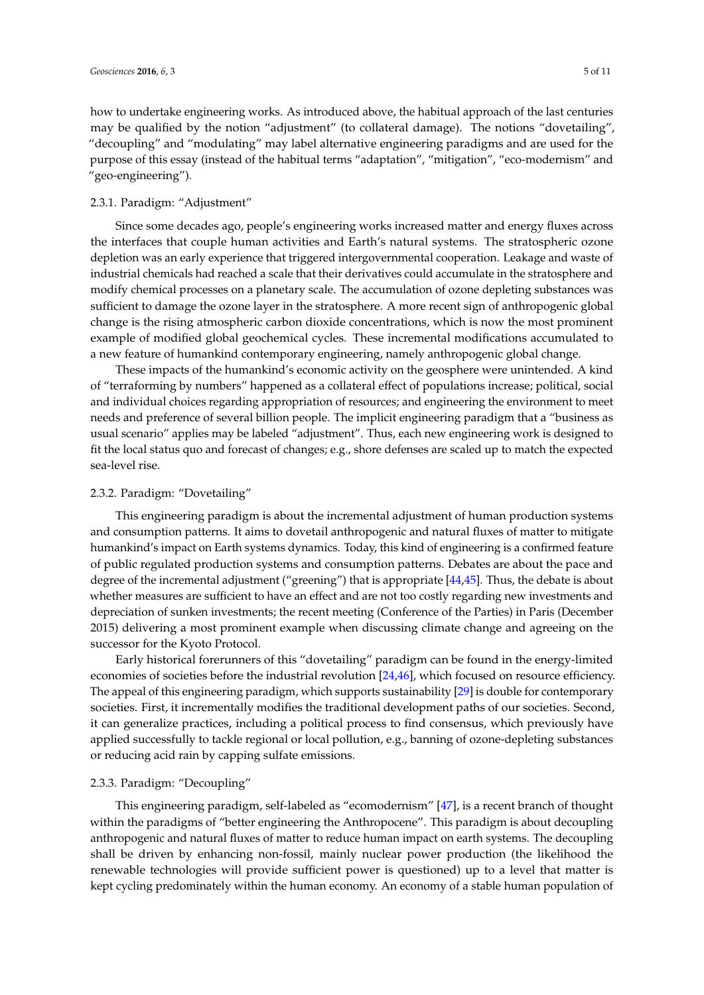how to undertake engineering works. As introduced above, the habitual approach of the last centuries may be qualified by the notion "adjustment" (to collateral damage). The notions "dovetailing", "decoupling" and "modulating" may label alternative engineering paradigms and are used for the purpose of this essay (instead of the habitual terms "adaptation", "mitigation", "eco-modernism" and "geo-engineering").

# 2.3.1. Paradigm: "Adjustment"

Since some decades ago, people's engineering works increased matter and energy fluxes across the interfaces that couple human activities and Earth's natural systems. The stratospheric ozone depletion was an early experience that triggered intergovernmental cooperation. Leakage and waste of industrial chemicals had reached a scale that their derivatives could accumulate in the stratosphere and modify chemical processes on a planetary scale. The accumulation of ozone depleting substances was sufficient to damage the ozone layer in the stratosphere. A more recent sign of anthropogenic global change is the rising atmospheric carbon dioxide concentrations, which is now the most prominent example of modified global geochemical cycles. These incremental modifications accumulated to a new feature of humankind contemporary engineering, namely anthropogenic global change.

These impacts of the humankind's economic activity on the geosphere were unintended. A kind of "terraforming by numbers" happened as a collateral effect of populations increase; political, social and individual choices regarding appropriation of resources; and engineering the environment to meet needs and preference of several billion people. The implicit engineering paradigm that a "business as usual scenario" applies may be labeled "adjustment". Thus, each new engineering work is designed to fit the local status quo and forecast of changes; e.g., shore defenses are scaled up to match the expected sea-level rise.

## 2.3.2. Paradigm: "Dovetailing"

This engineering paradigm is about the incremental adjustment of human production systems and consumption patterns. It aims to dovetail anthropogenic and natural fluxes of matter to mitigate humankind's impact on Earth systems dynamics. Today, this kind of engineering is a confirmed feature of public regulated production systems and consumption patterns. Debates are about the pace and degree of the incremental adjustment ("greening") that is appropriate [\[44](#page-10-3)[,45\]](#page-10-4). Thus, the debate is about whether measures are sufficient to have an effect and are not too costly regarding new investments and depreciation of sunken investments; the recent meeting (Conference of the Parties) in Paris (December 2015) delivering a most prominent example when discussing climate change and agreeing on the successor for the Kyoto Protocol.

Early historical forerunners of this "dovetailing" paradigm can be found in the energy-limited economies of societies before the industrial revolution [\[24](#page-9-7)[,46\]](#page-10-5), which focused on resource efficiency. The appeal of this engineering paradigm, which supports sustainability [\[29\]](#page-9-12) is double for contemporary societies. First, it incrementally modifies the traditional development paths of our societies. Second, it can generalize practices, including a political process to find consensus, which previously have applied successfully to tackle regional or local pollution, e.g., banning of ozone-depleting substances or reducing acid rain by capping sulfate emissions.

## 2.3.3. Paradigm: "Decoupling"

This engineering paradigm, self-labeled as "ecomodernism" [\[47\]](#page-10-6), is a recent branch of thought within the paradigms of "better engineering the Anthropocene". This paradigm is about decoupling anthropogenic and natural fluxes of matter to reduce human impact on earth systems. The decoupling shall be driven by enhancing non-fossil, mainly nuclear power production (the likelihood the renewable technologies will provide sufficient power is questioned) up to a level that matter is kept cycling predominately within the human economy. An economy of a stable human population of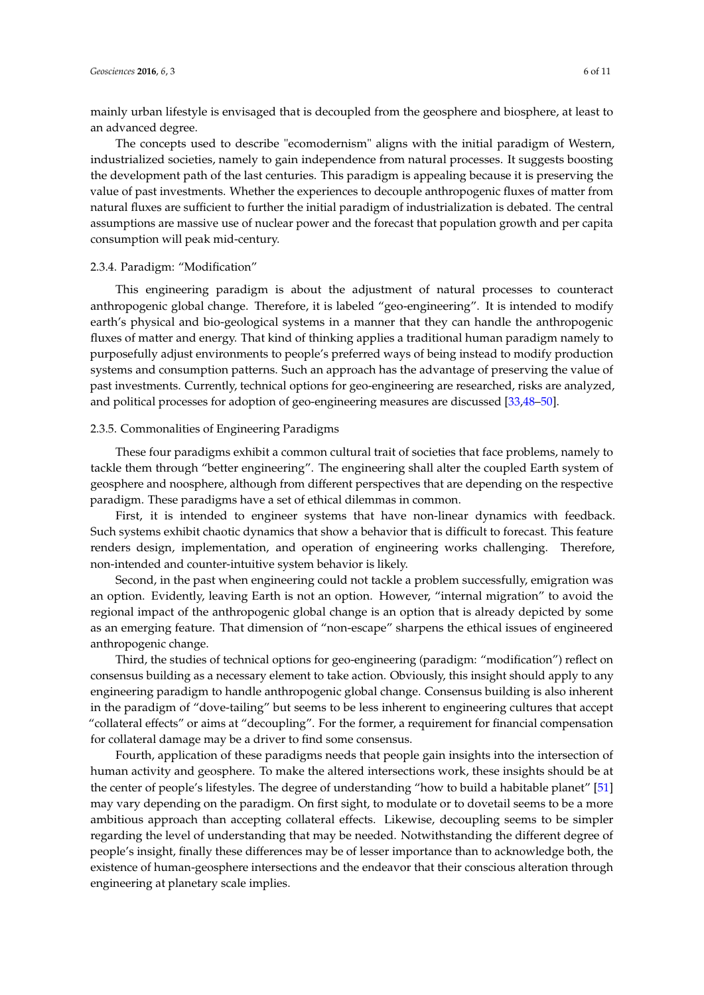mainly urban lifestyle is envisaged that is decoupled from the geosphere and biosphere, at least to an advanced degree.

The concepts used to describe "ecomodernism" aligns with the initial paradigm of Western, industrialized societies, namely to gain independence from natural processes. It suggests boosting the development path of the last centuries. This paradigm is appealing because it is preserving the value of past investments. Whether the experiences to decouple anthropogenic fluxes of matter from natural fluxes are sufficient to further the initial paradigm of industrialization is debated. The central assumptions are massive use of nuclear power and the forecast that population growth and per capita consumption will peak mid-century.

## 2.3.4. Paradigm: "Modification"

This engineering paradigm is about the adjustment of natural processes to counteract anthropogenic global change. Therefore, it is labeled "geo-engineering". It is intended to modify earth's physical and bio-geological systems in a manner that they can handle the anthropogenic fluxes of matter and energy. That kind of thinking applies a traditional human paradigm namely to purposefully adjust environments to people's preferred ways of being instead to modify production systems and consumption patterns. Such an approach has the advantage of preserving the value of past investments. Currently, technical options for geo-engineering are researched, risks are analyzed, and political processes for adoption of geo-engineering measures are discussed [\[33](#page-9-16)[,48](#page-10-7)[–50\]](#page-10-8).

#### 2.3.5. Commonalities of Engineering Paradigms

These four paradigms exhibit a common cultural trait of societies that face problems, namely to tackle them through "better engineering". The engineering shall alter the coupled Earth system of geosphere and noosphere, although from different perspectives that are depending on the respective paradigm. These paradigms have a set of ethical dilemmas in common.

First, it is intended to engineer systems that have non-linear dynamics with feedback. Such systems exhibit chaotic dynamics that show a behavior that is difficult to forecast. This feature renders design, implementation, and operation of engineering works challenging. Therefore, non-intended and counter-intuitive system behavior is likely.

Second, in the past when engineering could not tackle a problem successfully, emigration was an option. Evidently, leaving Earth is not an option. However, "internal migration" to avoid the regional impact of the anthropogenic global change is an option that is already depicted by some as an emerging feature. That dimension of "non-escape" sharpens the ethical issues of engineered anthropogenic change.

Third, the studies of technical options for geo-engineering (paradigm: "modification") reflect on consensus building as a necessary element to take action. Obviously, this insight should apply to any engineering paradigm to handle anthropogenic global change. Consensus building is also inherent in the paradigm of "dove-tailing" but seems to be less inherent to engineering cultures that accept "collateral effects" or aims at "decoupling". For the former, a requirement for financial compensation for collateral damage may be a driver to find some consensus.

Fourth, application of these paradigms needs that people gain insights into the intersection of human activity and geosphere. To make the altered intersections work, these insights should be at the center of people's lifestyles. The degree of understanding "how to build a habitable planet" [\[51\]](#page-10-9) may vary depending on the paradigm. On first sight, to modulate or to dovetail seems to be a more ambitious approach than accepting collateral effects. Likewise, decoupling seems to be simpler regarding the level of understanding that may be needed. Notwithstanding the different degree of people's insight, finally these differences may be of lesser importance than to acknowledge both, the existence of human-geosphere intersections and the endeavor that their conscious alteration through engineering at planetary scale implies.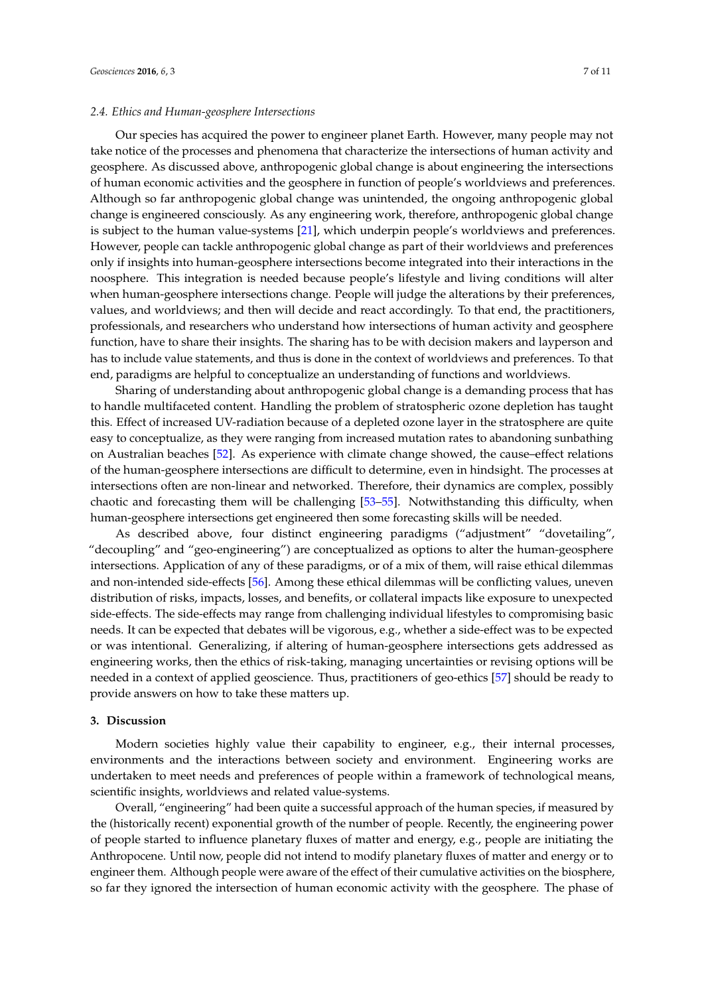## *2.4. Ethics and Human-geosphere Intersections*

Our species has acquired the power to engineer planet Earth. However, many people may not take notice of the processes and phenomena that characterize the intersections of human activity and geosphere. As discussed above, anthropogenic global change is about engineering the intersections of human economic activities and the geosphere in function of people's worldviews and preferences. Although so far anthropogenic global change was unintended, the ongoing anthropogenic global change is engineered consciously. As any engineering work, therefore, anthropogenic global change is subject to the human value-systems [\[21\]](#page-9-4), which underpin people's worldviews and preferences. However, people can tackle anthropogenic global change as part of their worldviews and preferences only if insights into human-geosphere intersections become integrated into their interactions in the noosphere. This integration is needed because people's lifestyle and living conditions will alter when human-geosphere intersections change. People will judge the alterations by their preferences, values, and worldviews; and then will decide and react accordingly. To that end, the practitioners, professionals, and researchers who understand how intersections of human activity and geosphere function, have to share their insights. The sharing has to be with decision makers and layperson and has to include value statements, and thus is done in the context of worldviews and preferences. To that end, paradigms are helpful to conceptualize an understanding of functions and worldviews.

Sharing of understanding about anthropogenic global change is a demanding process that has to handle multifaceted content. Handling the problem of stratospheric ozone depletion has taught this. Effect of increased UV-radiation because of a depleted ozone layer in the stratosphere are quite easy to conceptualize, as they were ranging from increased mutation rates to abandoning sunbathing on Australian beaches [\[52\]](#page-10-10). As experience with climate change showed, the cause–effect relations of the human-geosphere intersections are difficult to determine, even in hindsight. The processes at intersections often are non-linear and networked. Therefore, their dynamics are complex, possibly chaotic and forecasting them will be challenging [\[53–](#page-10-11)[55\]](#page-10-12). Notwithstanding this difficulty, when human-geosphere intersections get engineered then some forecasting skills will be needed.

As described above, four distinct engineering paradigms ("adjustment" "dovetailing", "decoupling" and "geo-engineering") are conceptualized as options to alter the human-geosphere intersections. Application of any of these paradigms, or of a mix of them, will raise ethical dilemmas and non-intended side-effects [\[56\]](#page-10-13). Among these ethical dilemmas will be conflicting values, uneven distribution of risks, impacts, losses, and benefits, or collateral impacts like exposure to unexpected side-effects. The side-effects may range from challenging individual lifestyles to compromising basic needs. It can be expected that debates will be vigorous, e.g., whether a side-effect was to be expected or was intentional. Generalizing, if altering of human-geosphere intersections gets addressed as engineering works, then the ethics of risk-taking, managing uncertainties or revising options will be needed in a context of applied geoscience. Thus, practitioners of geo-ethics [\[57\]](#page-10-14) should be ready to provide answers on how to take these matters up.

## **3. Discussion**

Modern societies highly value their capability to engineer, e.g., their internal processes, environments and the interactions between society and environment. Engineering works are undertaken to meet needs and preferences of people within a framework of technological means, scientific insights, worldviews and related value-systems.

Overall, "engineering" had been quite a successful approach of the human species, if measured by the (historically recent) exponential growth of the number of people. Recently, the engineering power of people started to influence planetary fluxes of matter and energy, e.g., people are initiating the Anthropocene. Until now, people did not intend to modify planetary fluxes of matter and energy or to engineer them. Although people were aware of the effect of their cumulative activities on the biosphere, so far they ignored the intersection of human economic activity with the geosphere. The phase of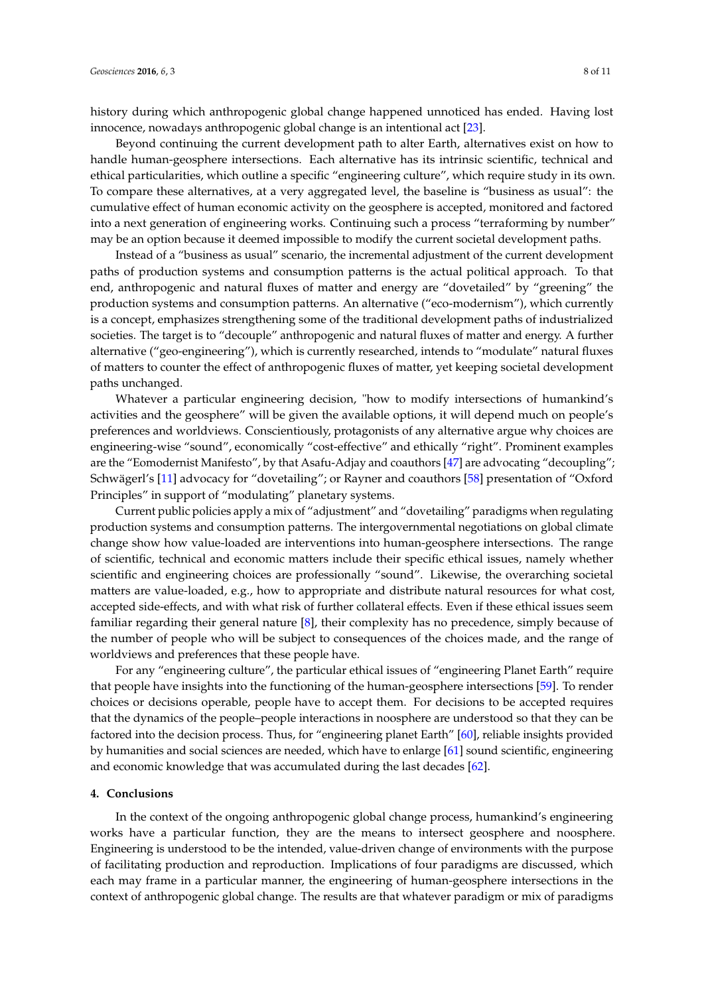history during which anthropogenic global change happened unnoticed has ended. Having lost innocence, nowadays anthropogenic global change is an intentional act [\[23\]](#page-9-6).

Beyond continuing the current development path to alter Earth, alternatives exist on how to handle human-geosphere intersections. Each alternative has its intrinsic scientific, technical and ethical particularities, which outline a specific "engineering culture", which require study in its own. To compare these alternatives, at a very aggregated level, the baseline is "business as usual": the cumulative effect of human economic activity on the geosphere is accepted, monitored and factored into a next generation of engineering works. Continuing such a process "terraforming by number" may be an option because it deemed impossible to modify the current societal development paths.

Instead of a "business as usual" scenario, the incremental adjustment of the current development paths of production systems and consumption patterns is the actual political approach. To that end, anthropogenic and natural fluxes of matter and energy are "dovetailed" by "greening" the production systems and consumption patterns. An alternative ("eco-modernism"), which currently is a concept, emphasizes strengthening some of the traditional development paths of industrialized societies. The target is to "decouple" anthropogenic and natural fluxes of matter and energy. A further alternative ("geo-engineering"), which is currently researched, intends to "modulate" natural fluxes of matters to counter the effect of anthropogenic fluxes of matter, yet keeping societal development paths unchanged.

Whatever a particular engineering decision, "how to modify intersections of humankind's activities and the geosphere" will be given the available options, it will depend much on people's preferences and worldviews. Conscientiously, protagonists of any alternative argue why choices are engineering-wise "sound", economically "cost-effective" and ethically "right". Prominent examples are the "Eomodernist Manifesto", by that Asafu-Adjay and coauthors [\[47\]](#page-10-6) are advocating "decoupling"; Schwägerl's [\[11\]](#page-8-9) advocacy for "dovetailing"; or Rayner and coauthors [\[58\]](#page-10-15) presentation of "Oxford Principles" in support of "modulating" planetary systems.

Current public policies apply a mix of "adjustment" and "dovetailing" paradigms when regulating production systems and consumption patterns. The intergovernmental negotiations on global climate change show how value-loaded are interventions into human-geosphere intersections. The range of scientific, technical and economic matters include their specific ethical issues, namely whether scientific and engineering choices are professionally "sound". Likewise, the overarching societal matters are value-loaded, e.g., how to appropriate and distribute natural resources for what cost, accepted side-effects, and with what risk of further collateral effects. Even if these ethical issues seem familiar regarding their general nature [\[8\]](#page-8-6), their complexity has no precedence, simply because of the number of people who will be subject to consequences of the choices made, and the range of worldviews and preferences that these people have.

For any "engineering culture", the particular ethical issues of "engineering Planet Earth" require that people have insights into the functioning of the human-geosphere intersections [\[59\]](#page-10-16). To render choices or decisions operable, people have to accept them. For decisions to be accepted requires that the dynamics of the people–people interactions in noosphere are understood so that they can be factored into the decision process. Thus, for "engineering planet Earth" [\[60\]](#page-10-17), reliable insights provided by humanities and social sciences are needed, which have to enlarge [\[61\]](#page-10-18) sound scientific, engineering and economic knowledge that was accumulated during the last decades [\[62\]](#page-10-19).

### **4. Conclusions**

In the context of the ongoing anthropogenic global change process, humankind's engineering works have a particular function, they are the means to intersect geosphere and noosphere. Engineering is understood to be the intended, value-driven change of environments with the purpose of facilitating production and reproduction. Implications of four paradigms are discussed, which each may frame in a particular manner, the engineering of human-geosphere intersections in the context of anthropogenic global change. The results are that whatever paradigm or mix of paradigms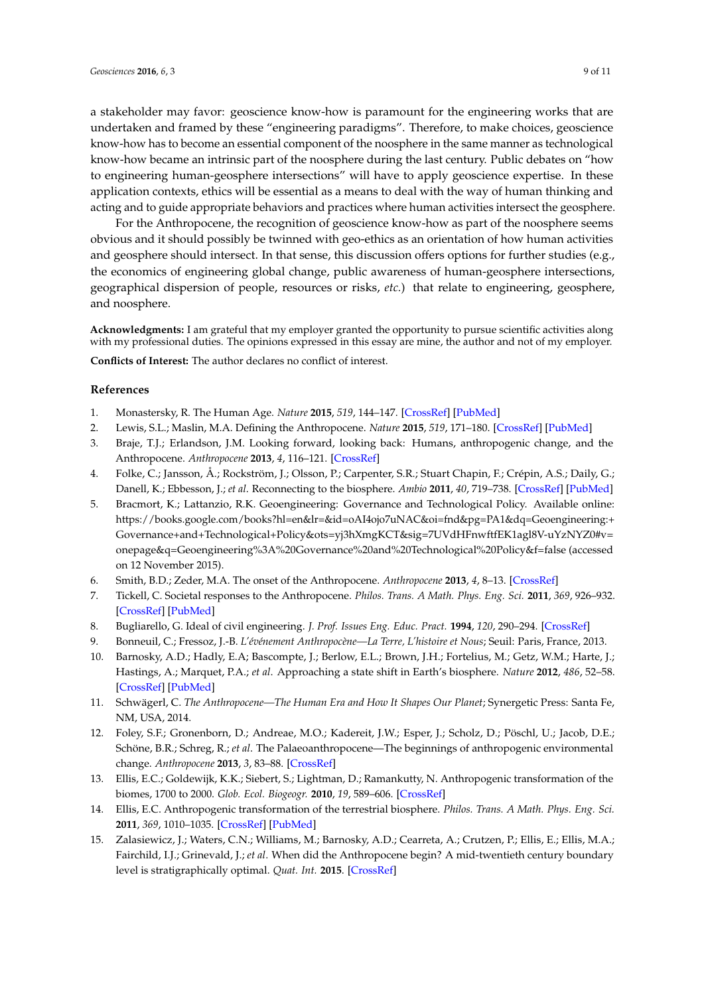a stakeholder may favor: geoscience know-how is paramount for the engineering works that are undertaken and framed by these "engineering paradigms". Therefore, to make choices, geoscience know-how has to become an essential component of the noosphere in the same manner as technological know-how became an intrinsic part of the noosphere during the last century. Public debates on "how to engineering human-geosphere intersections" will have to apply geoscience expertise. In these application contexts, ethics will be essential as a means to deal with the way of human thinking and acting and to guide appropriate behaviors and practices where human activities intersect the geosphere.

For the Anthropocene, the recognition of geoscience know-how as part of the noosphere seems obvious and it should possibly be twinned with geo-ethics as an orientation of how human activities and geosphere should intersect. In that sense, this discussion offers options for further studies (e.g., the economics of engineering global change, public awareness of human-geosphere intersections, geographical dispersion of people, resources or risks, *etc.*) that relate to engineering, geosphere, and noosphere.

**Acknowledgments:** I am grateful that my employer granted the opportunity to pursue scientific activities along with my professional duties. The opinions expressed in this essay are mine, the author and not of my employer. **Conflicts of Interest:** The author declares no conflict of interest.

## **References**

- <span id="page-8-0"></span>1. Monastersky, R. The Human Age. *Nature* **2015**, *519*, 144–147. [\[CrossRef\]](http://dx.doi.org/10.1038/519144a) [\[PubMed\]](http://www.ncbi.nlm.nih.gov/pubmed/25762264)
- <span id="page-8-1"></span>2. Lewis, S.L.; Maslin, M.A. Defining the Anthropocene. *Nature* **2015**, *519*, 171–180. [\[CrossRef\]](http://dx.doi.org/10.1038/nature14258) [\[PubMed\]](http://www.ncbi.nlm.nih.gov/pubmed/25762280)
- <span id="page-8-14"></span>3. Braje, T.J.; Erlandson, J.M. Looking forward, looking back: Humans, anthropogenic change, and the Anthropocene. *Anthropocene* **2013**, *4*, 116–121. [\[CrossRef\]](http://dx.doi.org/10.1016/j.ancene.2014.05.002)
- <span id="page-8-2"></span>4. Folke, C.; Jansson, Å.; Rockström, J.; Olsson, P.; Carpenter, S.R.; Stuart Chapin, F.; Crépin, A.S.; Daily, G.; Danell, K.; Ebbesson, J.; *et al*. Reconnecting to the biosphere. *Ambio* **2011**, *40*, 719–738. [\[CrossRef\]](http://dx.doi.org/10.1007/s13280-011-0184-y) [\[PubMed\]](http://www.ncbi.nlm.nih.gov/pubmed/22338712)
- <span id="page-8-3"></span>5. Bracmort, K.; Lattanzio, R.K. Geoengineering: Governance and Technological Policy. Available online: https://books.google.com/books?hl=en&lr=&id=oAI4ojo7uNAC&oi=fnd&pg=PA1&dq=Geoengineering:+ Governance+and+Technological+Policy&ots=yj3hXmgKCT&sig=7UVdHFnwftfEK1agl8V-uYzNYZ0#v= onepage&q=Geoengineering%3A%20Governance%20and%20Technological%20Policy&f=false (accessed on 12 November 2015).
- <span id="page-8-4"></span>6. Smith, B.D.; Zeder, M.A. The onset of the Anthropocene. *Anthropocene* **2013**, *4*, 8–13. [\[CrossRef\]](http://dx.doi.org/10.1016/j.ancene.2013.05.001)
- <span id="page-8-5"></span>7. Tickell, C. Societal responses to the Anthropocene. *Philos. Trans. A Math. Phys. Eng. Sci.* **2011**, *369*, 926–932. [\[CrossRef\]](http://dx.doi.org/10.1098/rsta.2010.0302) [\[PubMed\]](http://www.ncbi.nlm.nih.gov/pubmed/21282154)
- <span id="page-8-6"></span>8. Bugliarello, G. Ideal of civil engineering. *J. Prof. Issues Eng. Educ. Pract.* **1994**, *120*, 290–294. [\[CrossRef\]](http://dx.doi.org/10.1061/(ASCE)1052-3928(1994)120:3(290))
- <span id="page-8-7"></span>9. Bonneuil, C.; Fressoz, J.-B. *L'événement Anthropocène—La Terre, L'histoire et Nous*; Seuil: Paris, France, 2013.
- <span id="page-8-8"></span>10. Barnosky, A.D.; Hadly, E.A; Bascompte, J.; Berlow, E.L.; Brown, J.H.; Fortelius, M.; Getz, W.M.; Harte, J.; Hastings, A.; Marquet, P.A.; *et al*. Approaching a state shift in Earth's biosphere. *Nature* **2012**, *486*, 52–58. [\[CrossRef\]](http://dx.doi.org/10.1038/nature11018) [\[PubMed\]](http://www.ncbi.nlm.nih.gov/pubmed/22678279)
- <span id="page-8-9"></span>11. Schwägerl, C. *The Anthropocene—The Human Era and How It Shapes Our Planet*; Synergetic Press: Santa Fe, NM, USA, 2014.
- <span id="page-8-10"></span>12. Foley, S.F.; Gronenborn, D.; Andreae, M.O.; Kadereit, J.W.; Esper, J.; Scholz, D.; Pöschl, U.; Jacob, D.E.; Schöne, B.R.; Schreg, R.; *et al*. The Palaeoanthropocene—The beginnings of anthropogenic environmental change. *Anthropocene* **2013**, *3*, 83–88. [\[CrossRef\]](http://dx.doi.org/10.1016/j.ancene.2013.11.002)
- <span id="page-8-11"></span>13. Ellis, E.C.; Goldewijk, K.K.; Siebert, S.; Lightman, D.; Ramankutty, N. Anthropogenic transformation of the biomes, 1700 to 2000. *Glob. Ecol. Biogeogr.* **2010**, *19*, 589–606. [\[CrossRef\]](http://dx.doi.org/10.1111/j.1466-8238.2010.00540.x)
- <span id="page-8-12"></span>14. Ellis, E.C. Anthropogenic transformation of the terrestrial biosphere. *Philos. Trans. A Math. Phys. Eng. Sci.* **2011**, *369*, 1010–1035. [\[CrossRef\]](http://dx.doi.org/10.1098/rsta.2010.0331) [\[PubMed\]](http://www.ncbi.nlm.nih.gov/pubmed/21282158)
- <span id="page-8-13"></span>15. Zalasiewicz, J.; Waters, C.N.; Williams, M.; Barnosky, A.D.; Cearreta, A.; Crutzen, P.; Ellis, E.; Ellis, M.A.; Fairchild, I.J.; Grinevald, J.; *et al*. When did the Anthropocene begin? A mid-twentieth century boundary level is stratigraphically optimal. *Quat. Int.* **2015**. [\[CrossRef\]](http://dx.doi.org/10.1016/j.quaint.2014.11.045)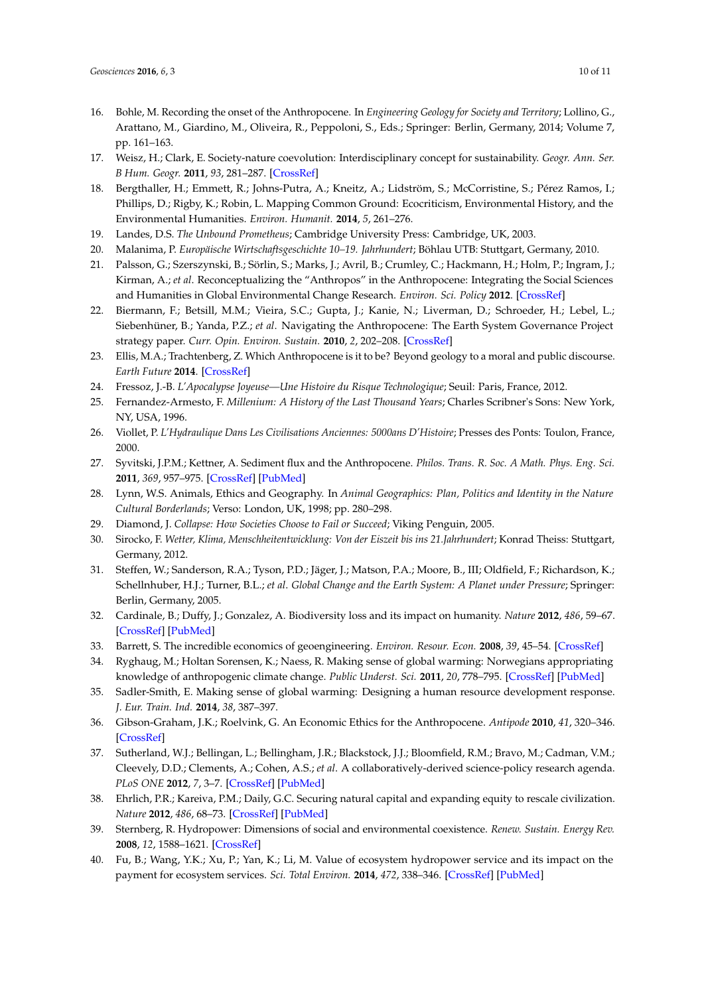- <span id="page-9-0"></span>16. Bohle, M. Recording the onset of the Anthropocene. In *Engineering Geology for Society and Territory*; Lollino, G., Arattano, M., Giardino, M., Oliveira, R., Peppoloni, S., Eds.; Springer: Berlin, Germany, 2014; Volume 7, pp. 161–163.
- <span id="page-9-1"></span>17. Weisz, H.; Clark, E. Society-nature coevolution: Interdisciplinary concept for sustainability. *Geogr. Ann. Ser. B Hum. Geogr.* **2011**, *93*, 281–287. [\[CrossRef\]](http://dx.doi.org/10.1111/j.1468-0467.2011.00382.x)
- <span id="page-9-2"></span>18. Bergthaller, H.; Emmett, R.; Johns-Putra, A.; Kneitz, A.; Lidström, S.; McCorristine, S.; Pérez Ramos, I.; Phillips, D.; Rigby, K.; Robin, L. Mapping Common Ground: Ecocriticism, Environmental History, and the Environmental Humanities. *Environ. Humanit.* **2014**, *5*, 261–276.
- <span id="page-9-3"></span>19. Landes, D.S. *The Unbound Prometheus*; Cambridge University Press: Cambridge, UK, 2003.
- 20. Malanima, P. *Europäische Wirtschaftsgeschichte 10–19. Jahrhundert*; Böhlau UTB: Stuttgart, Germany, 2010.
- <span id="page-9-4"></span>21. Palsson, G.; Szerszynski, B.; Sörlin, S.; Marks, J.; Avril, B.; Crumley, C.; Hackmann, H.; Holm, P.; Ingram, J.; Kirman, A.; *et al*. Reconceptualizing the "Anthropos" in the Anthropocene: Integrating the Social Sciences and Humanities in Global Environmental Change Research. *Environ. Sci. Policy* **2012**. [\[CrossRef\]](http://dx.doi.org/10.1016/j.envsci.2012.11.004)
- <span id="page-9-5"></span>22. Biermann, F.; Betsill, M.M.; Vieira, S.C.; Gupta, J.; Kanie, N.; Liverman, D.; Schroeder, H.; Lebel, L.; Siebenhüner, B.; Yanda, P.Z.; *et al*. Navigating the Anthropocene: The Earth System Governance Project strategy paper. *Curr. Opin. Environ. Sustain.* **2010**, *2*, 202–208. [\[CrossRef\]](http://dx.doi.org/10.1016/j.cosust.2010.04.005)
- <span id="page-9-6"></span>23. Ellis, M.A.; Trachtenberg, Z. Which Anthropocene is it to be? Beyond geology to a moral and public discourse. *Earth Future* **2014**. [\[CrossRef\]](http://dx.doi.org/10.1002/2013EF000191)
- <span id="page-9-7"></span>24. Fressoz, J.-B. *L'Apocalypse Joyeuse—Une Histoire du Risque Technologique*; Seuil: Paris, France, 2012.
- <span id="page-9-8"></span>25. Fernandez-Armesto, F. *Millenium: A History of the Last Thousand Years*; Charles Scribner's Sons: New York, NY, USA, 1996.
- <span id="page-9-9"></span>26. Viollet, P. *L'Hydraulique Dans Les Civilisations Anciennes: 5000ans D'Histoire*; Presses des Ponts: Toulon, France, 2000.
- <span id="page-9-10"></span>27. Syvitski, J.P.M.; Kettner, A. Sediment flux and the Anthropocene. *Philos. Trans. R. Soc. A Math. Phys. Eng. Sci.* **2011**, *369*, 957–975. [\[CrossRef\]](http://dx.doi.org/10.1098/rsta.2010.0329) [\[PubMed\]](http://www.ncbi.nlm.nih.gov/pubmed/21282156)
- <span id="page-9-11"></span>28. Lynn, W.S. Animals, Ethics and Geography. In *Animal Geographics: Plan, Politics and Identity in the Nature Cultural Borderlands*; Verso: London, UK, 1998; pp. 280–298.
- <span id="page-9-12"></span>29. Diamond, J. *Collapse: How Societies Choose to Fail or Succeed*; Viking Penguin, 2005.
- <span id="page-9-13"></span>30. Sirocko, F. *Wetter, Klima, Menschheitentwicklung: Von der Eiszeit bis ins 21.Jahrhundert*; Konrad Theiss: Stuttgart, Germany, 2012.
- <span id="page-9-14"></span>31. Steffen, W.; Sanderson, R.A.; Tyson, P.D.; Jäger, J.; Matson, P.A.; Moore, B., III; Oldfield, F.; Richardson, K.; Schellnhuber, H.J.; Turner, B.L.; *et al*. *Global Change and the Earth System: A Planet under Pressure*; Springer: Berlin, Germany, 2005.
- <span id="page-9-15"></span>32. Cardinale, B.; Duffy, J.; Gonzalez, A. Biodiversity loss and its impact on humanity. *Nature* **2012**, *486*, 59–67. [\[CrossRef\]](http://dx.doi.org/10.1038/nature11148) [\[PubMed\]](http://www.ncbi.nlm.nih.gov/pubmed/22678280)
- <span id="page-9-16"></span>33. Barrett, S. The incredible economics of geoengineering. *Environ. Resour. Econ.* **2008**, *39*, 45–54. [\[CrossRef\]](http://dx.doi.org/10.1007/s10640-007-9174-8)
- 34. Ryghaug, M.; Holtan Sorensen, K.; Naess, R. Making sense of global warming: Norwegians appropriating knowledge of anthropogenic climate change. *Public Underst. Sci.* **2011**, *20*, 778–795. [\[CrossRef\]](http://dx.doi.org/10.1177/0963662510362657) [\[PubMed\]](http://www.ncbi.nlm.nih.gov/pubmed/22397085)
- <span id="page-9-17"></span>35. Sadler-Smith, E. Making sense of global warming: Designing a human resource development response. *J. Eur. Train. Ind.* **2014**, *38*, 387–397.
- <span id="page-9-18"></span>36. Gibson-Graham, J.K.; Roelvink, G. An Economic Ethics for the Anthropocene. *Antipode* **2010**, *41*, 320–346. [\[CrossRef\]](http://dx.doi.org/10.1111/j.1467-8330.2009.00728.x)
- <span id="page-9-19"></span>37. Sutherland, W.J.; Bellingan, L.; Bellingham, J.R.; Blackstock, J.J.; Bloomfield, R.M.; Bravo, M.; Cadman, V.M.; Cleevely, D.D.; Clements, A.; Cohen, A.S.; *et al*. A collaboratively-derived science-policy research agenda. *PLoS ONE* **2012**, *7*, 3–7. [\[CrossRef\]](http://dx.doi.org/10.1371/journal.pone.0031824) [\[PubMed\]](http://www.ncbi.nlm.nih.gov/pubmed/22427809)
- <span id="page-9-20"></span>38. Ehrlich, P.R.; Kareiva, P.M.; Daily, G.C. Securing natural capital and expanding equity to rescale civilization. *Nature* **2012**, *486*, 68–73. [\[CrossRef\]](http://dx.doi.org/10.1038/nature11157) [\[PubMed\]](http://www.ncbi.nlm.nih.gov/pubmed/22678281)
- <span id="page-9-21"></span>39. Sternberg, R. Hydropower: Dimensions of social and environmental coexistence. *Renew. Sustain. Energy Rev.* **2008**, *12*, 1588–1621. [\[CrossRef\]](http://dx.doi.org/10.1016/j.rser.2007.01.027)
- <span id="page-9-22"></span>40. Fu, B.; Wang, Y.K.; Xu, P.; Yan, K.; Li, M. Value of ecosystem hydropower service and its impact on the payment for ecosystem services. *Sci. Total Environ.* **2014**, *472*, 338–346. [\[CrossRef\]](http://dx.doi.org/10.1016/j.scitotenv.2013.11.015) [\[PubMed\]](http://www.ncbi.nlm.nih.gov/pubmed/24291631)